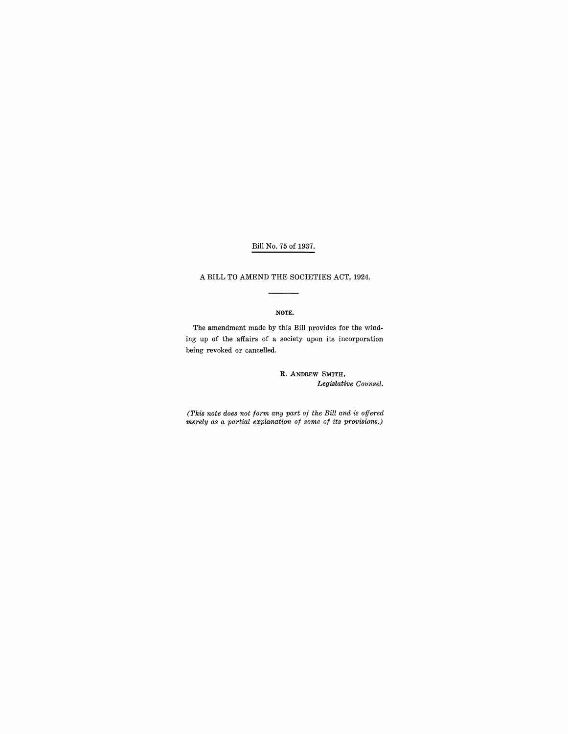# Bill No. 75 of 1937.

## A BILL TO AMEND THE SOCIETIES ACT, 1924.

#### NOTE.

The amendment made by this Bill provides for the winding up of the affairs of a society upon its incorporation being revoked or cancelled.

## R. ANDREW SMITH, Legislative Counsel.

*(This note does not form any part of the Bill and is offered merely as a partial explanation of some of its provisions.)*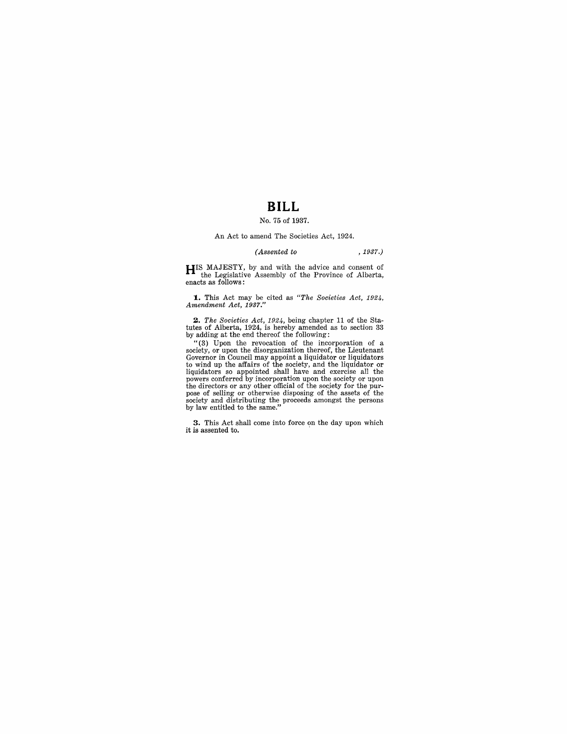# **BILL**

# No. 75 of 1937.

#### An Act to amend The Societies Act, 1924.

#### *(Assented to* , 1937.)

**HIS** MAJESTY, by and with the advice and consent of the Legislative Assembly of the Province of Alberta, enacts as follows:

**1.** This Act may be cited as *"The Societies Act, 1924, Amendment Act, 1937."* 

2. *The Societies Act, 1924*, being chapter 11 of the Sta-<br>tutes of Alberta, 1924, is hereby amended as to section 33<br>by adding at the end thereof the following:

"(3) Upon the revocation of the incorporation of a society, or upon the disorganization thereof, the Lieutenant Governor in Council may appoint a liquidator or liquidators<br>to wind up the affairs of the society, and the liquidator or<br>liquidators so appointed shall have and exercise all the<br>powers conferred by incorporation upon the s

**3.** This Act shall come into force on the day upon which it is assented to.  $\,$